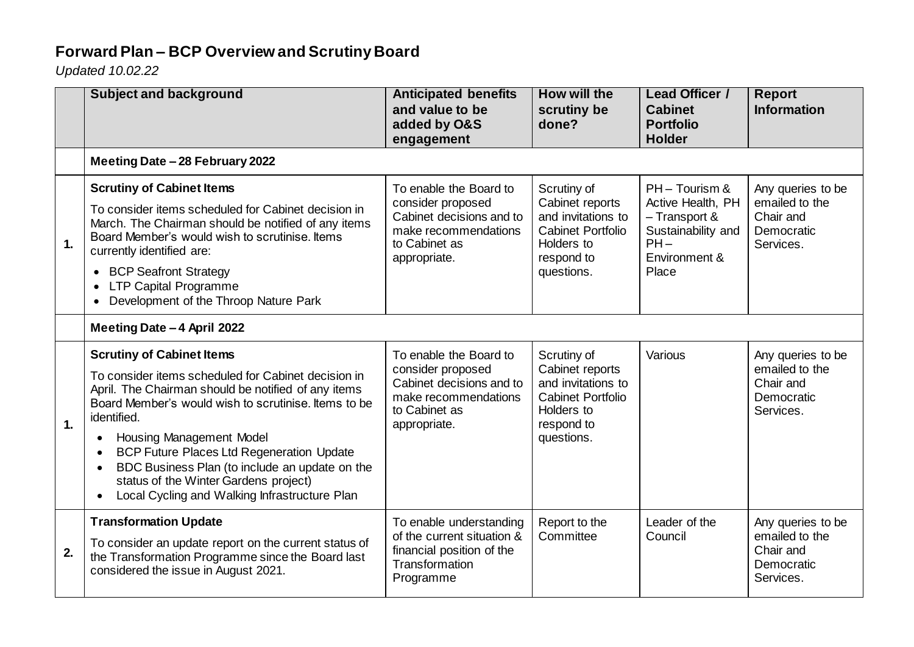## **Forward Plan – BCP Overview and Scrutiny Board**

*Updated 10.02.22*

|    | <b>Subject and background</b>                                                                                                                                                                                                                                                                                                                                                                                                                            | <b>Anticipated benefits</b><br>and value to be<br>added by O&S<br>engagement                                                     | <b>How will the</b><br>scrutiny be<br>done?                                                                                | <b>Lead Officer /</b><br><b>Cabinet</b><br><b>Portfolio</b><br><b>Holder</b>                                   | <b>Report</b><br><b>Information</b>                                         |
|----|----------------------------------------------------------------------------------------------------------------------------------------------------------------------------------------------------------------------------------------------------------------------------------------------------------------------------------------------------------------------------------------------------------------------------------------------------------|----------------------------------------------------------------------------------------------------------------------------------|----------------------------------------------------------------------------------------------------------------------------|----------------------------------------------------------------------------------------------------------------|-----------------------------------------------------------------------------|
|    | Meeting Date - 28 February 2022                                                                                                                                                                                                                                                                                                                                                                                                                          |                                                                                                                                  |                                                                                                                            |                                                                                                                |                                                                             |
| 1. | <b>Scrutiny of Cabinet Items</b><br>To consider items scheduled for Cabinet decision in<br>March. The Chairman should be notified of any items<br>Board Member's would wish to scrutinise, Items<br>currently identified are:<br><b>BCP Seafront Strategy</b><br>$\bullet$<br><b>LTP Capital Programme</b><br>$\bullet$<br>Development of the Throop Nature Park<br>$\bullet$                                                                            | To enable the Board to<br>consider proposed<br>Cabinet decisions and to<br>make recommendations<br>to Cabinet as<br>appropriate. | Scrutiny of<br>Cabinet reports<br>and invitations to<br><b>Cabinet Portfolio</b><br>Holders to<br>respond to<br>questions. | PH - Tourism &<br>Active Health, PH<br>- Transport &<br>Sustainability and<br>$PH -$<br>Environment &<br>Place | Any queries to be<br>emailed to the<br>Chair and<br>Democratic<br>Services. |
|    | Meeting Date - 4 April 2022                                                                                                                                                                                                                                                                                                                                                                                                                              |                                                                                                                                  |                                                                                                                            |                                                                                                                |                                                                             |
| 1. | <b>Scrutiny of Cabinet Items</b><br>To consider items scheduled for Cabinet decision in<br>April. The Chairman should be notified of any items<br>Board Member's would wish to scrutinise, Items to be<br>identified.<br><b>Housing Management Model</b><br><b>BCP Future Places Ltd Regeneration Update</b><br>BDC Business Plan (to include an update on the<br>status of the Winter Gardens project)<br>Local Cycling and Walking Infrastructure Plan | To enable the Board to<br>consider proposed<br>Cabinet decisions and to<br>make recommendations<br>to Cabinet as<br>appropriate. | Scrutiny of<br>Cabinet reports<br>and invitations to<br><b>Cabinet Portfolio</b><br>Holders to<br>respond to<br>questions. | Various                                                                                                        | Any queries to be<br>emailed to the<br>Chair and<br>Democratic<br>Services. |
| 2. | <b>Transformation Update</b><br>To consider an update report on the current status of<br>the Transformation Programme since the Board last<br>considered the issue in August 2021.                                                                                                                                                                                                                                                                       | To enable understanding<br>of the current situation &<br>financial position of the<br>Transformation<br>Programme                | Report to the<br>Committee                                                                                                 | Leader of the<br>Council                                                                                       | Any queries to be<br>emailed to the<br>Chair and<br>Democratic<br>Services. |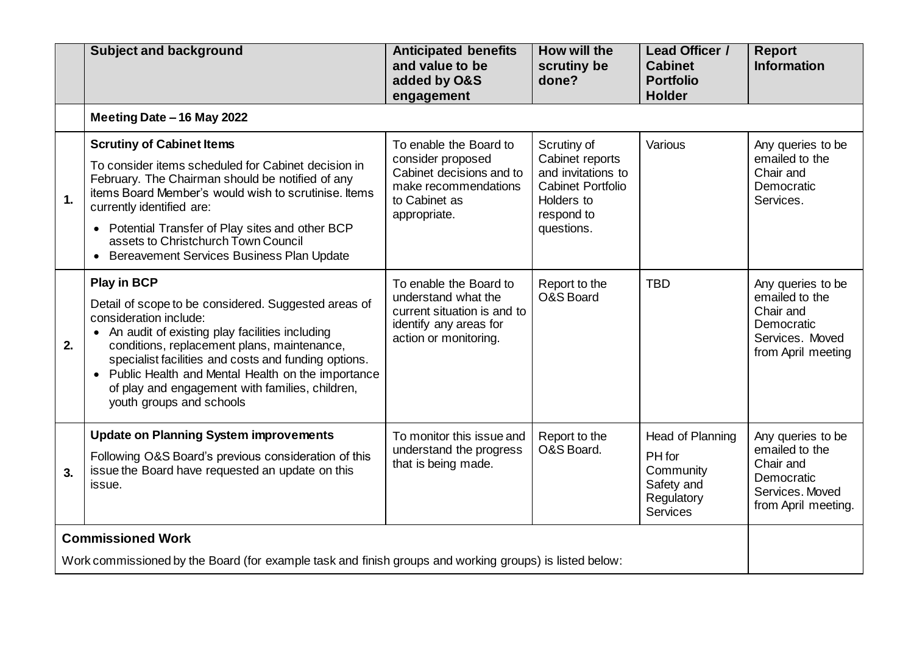|    | <b>Subject and background</b>                                                                                                                                                                                                                                                                                                                                                                       | <b>Anticipated benefits</b><br>and value to be<br>added by O&S<br>engagement                                                     | How will the<br>scrutiny be<br>done?                                                                                       | Lead Officer /<br><b>Cabinet</b><br><b>Portfolio</b><br><b>Holder</b>           | <b>Report</b><br><b>Information</b>                                                                      |
|----|-----------------------------------------------------------------------------------------------------------------------------------------------------------------------------------------------------------------------------------------------------------------------------------------------------------------------------------------------------------------------------------------------------|----------------------------------------------------------------------------------------------------------------------------------|----------------------------------------------------------------------------------------------------------------------------|---------------------------------------------------------------------------------|----------------------------------------------------------------------------------------------------------|
|    | Meeting Date - 16 May 2022                                                                                                                                                                                                                                                                                                                                                                          |                                                                                                                                  |                                                                                                                            |                                                                                 |                                                                                                          |
| 1. | <b>Scrutiny of Cabinet Items</b><br>To consider items scheduled for Cabinet decision in<br>February. The Chairman should be notified of any<br>items Board Member's would wish to scrutinise. Items<br>currently identified are:<br>• Potential Transfer of Play sites and other BCP<br>assets to Christchurch Town Council<br>Bereavement Services Business Plan Update                            | To enable the Board to<br>consider proposed<br>Cabinet decisions and to<br>make recommendations<br>to Cabinet as<br>appropriate. | Scrutiny of<br>Cabinet reports<br>and invitations to<br><b>Cabinet Portfolio</b><br>Holders to<br>respond to<br>questions. | Various                                                                         | Any queries to be<br>emailed to the<br>Chair and<br>Democratic<br>Services.                              |
| 2. | <b>Play in BCP</b><br>Detail of scope to be considered. Suggested areas of<br>consideration include:<br>• An audit of existing play facilities including<br>conditions, replacement plans, maintenance,<br>specialist facilities and costs and funding options.<br>Public Health and Mental Health on the importance<br>of play and engagement with families, children,<br>youth groups and schools | To enable the Board to<br>understand what the<br>current situation is and to<br>identify any areas for<br>action or monitoring.  | Report to the<br>O&S Board                                                                                                 | <b>TBD</b>                                                                      | Any queries to be<br>emailed to the<br>Chair and<br>Democratic<br>Services. Moved<br>from April meeting  |
| 3. | <b>Update on Planning System improvements</b><br>Following O&S Board's previous consideration of this<br>issue the Board have requested an update on this<br>issue.                                                                                                                                                                                                                                 | To monitor this issue and<br>understand the progress<br>that is being made.                                                      | Report to the<br>O&S Board.                                                                                                | Head of Planning<br>PH for<br>Community<br>Safety and<br>Regulatory<br>Services | Any queries to be<br>emailed to the<br>Chair and<br>Democratic<br>Services, Moved<br>from April meeting. |
|    | <b>Commissioned Work</b><br>Work commissioned by the Board (for example task and finish groups and working groups) is listed below:                                                                                                                                                                                                                                                                 |                                                                                                                                  |                                                                                                                            |                                                                                 |                                                                                                          |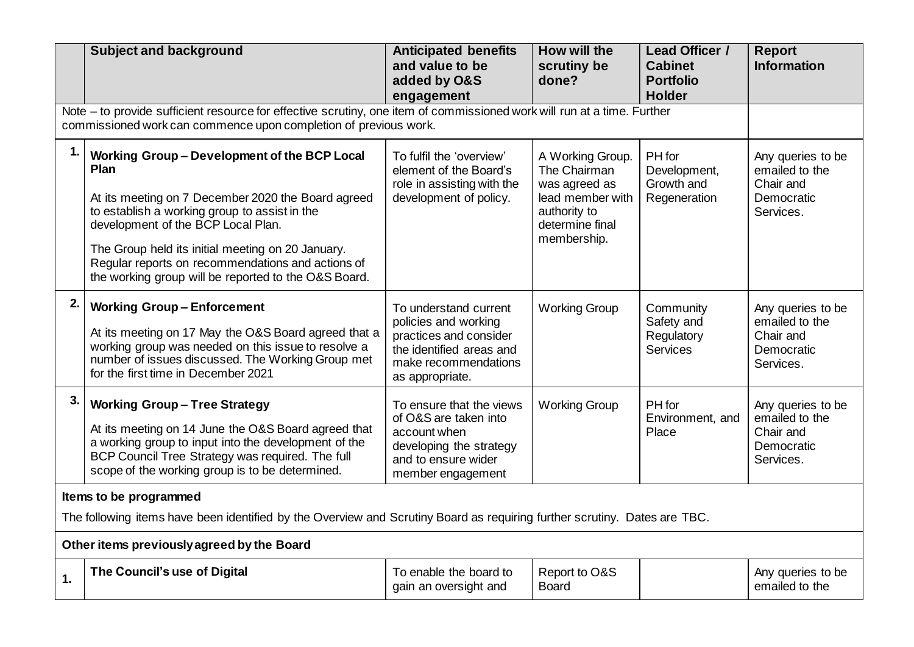|                                                                                                                                                                                             | <b>Subject and background</b>                                                                                                                                                                                                                                                                               | <b>Anticipated benefits</b><br>and value to be                                                                                                 | How will the<br>scrutiny be                                                                                             | Lead Officer /<br><b>Cabinet</b>                         | <b>Report</b><br><b>Information</b>                                         |
|---------------------------------------------------------------------------------------------------------------------------------------------------------------------------------------------|-------------------------------------------------------------------------------------------------------------------------------------------------------------------------------------------------------------------------------------------------------------------------------------------------------------|------------------------------------------------------------------------------------------------------------------------------------------------|-------------------------------------------------------------------------------------------------------------------------|----------------------------------------------------------|-----------------------------------------------------------------------------|
|                                                                                                                                                                                             |                                                                                                                                                                                                                                                                                                             | added by O&S<br>engagement                                                                                                                     | done?                                                                                                                   | <b>Portfolio</b><br><b>Holder</b>                        |                                                                             |
| Note – to provide sufficient resource for effective scrutiny, one item of commissioned work will run at a time. Further<br>commissioned work can commence upon completion of previous work. |                                                                                                                                                                                                                                                                                                             |                                                                                                                                                |                                                                                                                         |                                                          |                                                                             |
| 1.                                                                                                                                                                                          | Working Group - Development of the BCP Local<br>Plan<br>At its meeting on 7 December 2020 the Board agreed<br>to establish a working group to assist in the<br>development of the BCP Local Plan.<br>The Group held its initial meeting on 20 January.<br>Regular reports on recommendations and actions of | To fulfil the 'overview'<br>element of the Board's<br>role in assisting with the<br>development of policy.                                     | A Working Group.<br>The Chairman<br>was agreed as<br>lead member with<br>authority to<br>determine final<br>membership. | PH for<br>Development,<br>Growth and<br>Regeneration     | Any queries to be<br>emailed to the<br>Chair and<br>Democratic<br>Services. |
|                                                                                                                                                                                             | the working group will be reported to the O&S Board.                                                                                                                                                                                                                                                        |                                                                                                                                                |                                                                                                                         |                                                          |                                                                             |
| 2.                                                                                                                                                                                          | <b>Working Group-Enforcement</b><br>At its meeting on 17 May the O&S Board agreed that a<br>working group was needed on this issue to resolve a<br>number of issues discussed. The Working Group met<br>for the first time in December 2021                                                                 | To understand current<br>policies and working<br>practices and consider<br>the identified areas and<br>make recommendations<br>as appropriate. | <b>Working Group</b>                                                                                                    | Community<br>Safety and<br>Regulatory<br><b>Services</b> | Any queries to be<br>emailed to the<br>Chair and<br>Democratic<br>Services. |
| 3.                                                                                                                                                                                          | <b>Working Group-Tree Strategy</b><br>At its meeting on 14 June the O&S Board agreed that<br>a working group to input into the development of the<br>BCP Council Tree Strategy was required. The full<br>scope of the working group is to be determined.                                                    | To ensure that the views<br>of O&S are taken into<br>account when<br>developing the strategy<br>and to ensure wider<br>member engagement       | <b>Working Group</b>                                                                                                    | PH for<br>Environment, and<br>Place                      | Any queries to be<br>emailed to the<br>Chair and<br>Democratic<br>Services. |
| Items to be programmed                                                                                                                                                                      |                                                                                                                                                                                                                                                                                                             |                                                                                                                                                |                                                                                                                         |                                                          |                                                                             |
| The following items have been identified by the Overview and Scrutiny Board as requiring further scrutiny. Dates are TBC.                                                                   |                                                                                                                                                                                                                                                                                                             |                                                                                                                                                |                                                                                                                         |                                                          |                                                                             |
| Other items previously agreed by the Board                                                                                                                                                  |                                                                                                                                                                                                                                                                                                             |                                                                                                                                                |                                                                                                                         |                                                          |                                                                             |
| 1.                                                                                                                                                                                          | The Council's use of Digital                                                                                                                                                                                                                                                                                | To enable the board to<br>gain an oversight and                                                                                                | Report to O&S<br><b>Board</b>                                                                                           |                                                          | Any queries to be<br>emailed to the                                         |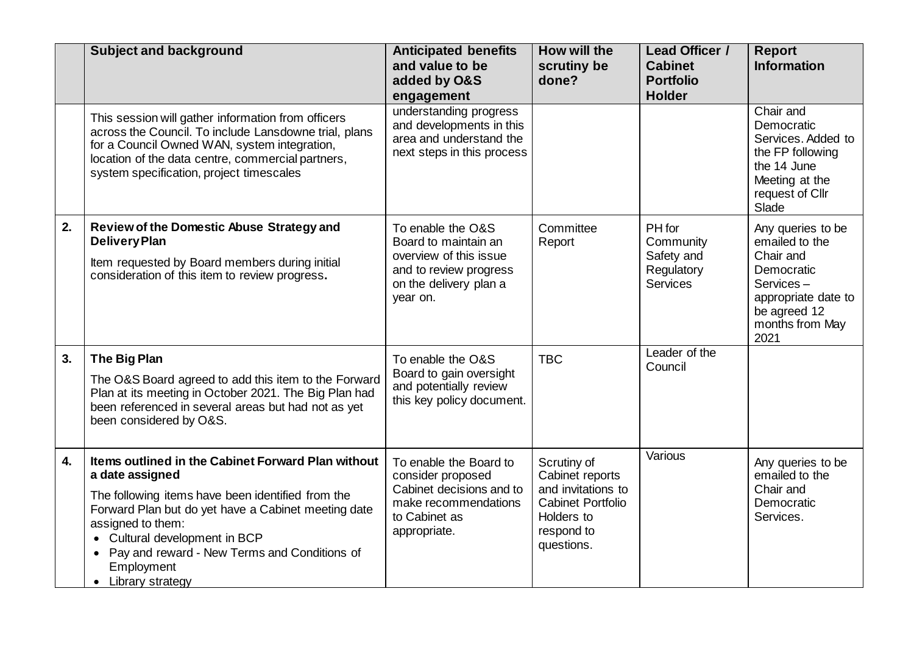|    | <b>Subject and background</b>                                                                                                                                                                                                                                                                                               | <b>Anticipated benefits</b><br>and value to be<br>added by O&S<br>engagement                                                        | How will the<br>scrutiny be<br>done?                                                                                       | Lead Officer /<br><b>Cabinet</b><br><b>Portfolio</b><br><b>Holder</b> | <b>Report</b><br><b>Information</b>                                                                                                           |
|----|-----------------------------------------------------------------------------------------------------------------------------------------------------------------------------------------------------------------------------------------------------------------------------------------------------------------------------|-------------------------------------------------------------------------------------------------------------------------------------|----------------------------------------------------------------------------------------------------------------------------|-----------------------------------------------------------------------|-----------------------------------------------------------------------------------------------------------------------------------------------|
|    | This session will gather information from officers<br>across the Council. To include Lansdowne trial, plans<br>for a Council Owned WAN, system integration,<br>location of the data centre, commercial partners,<br>system specification, project timescales                                                                | understanding progress<br>and developments in this<br>area and understand the<br>next steps in this process                         |                                                                                                                            |                                                                       | Chair and<br>Democratic<br>Services. Added to<br>the FP following<br>the 14 June<br>Meeting at the<br>request of Cllr<br>Slade                |
| 2. | Review of the Domestic Abuse Strategy and<br><b>Delivery Plan</b><br>Item requested by Board members during initial<br>consideration of this item to review progress.                                                                                                                                                       | To enable the O&S<br>Board to maintain an<br>overview of this issue<br>and to review progress<br>on the delivery plan a<br>year on. | Committee<br>Report                                                                                                        | PH for<br>Community<br>Safety and<br>Regulatory<br><b>Services</b>    | Any queries to be<br>emailed to the<br>Chair and<br>Democratic<br>Services-<br>appropriate date to<br>be agreed 12<br>months from May<br>2021 |
| 3. | The Big Plan<br>The O&S Board agreed to add this item to the Forward<br>Plan at its meeting in October 2021. The Big Plan had<br>been referenced in several areas but had not as yet<br>been considered by O&S.                                                                                                             | To enable the O&S<br>Board to gain oversight<br>and potentially review<br>this key policy document.                                 | <b>TBC</b>                                                                                                                 | Leader of the<br>Council                                              |                                                                                                                                               |
| 4. | Items outlined in the Cabinet Forward Plan without<br>a date assigned<br>The following items have been identified from the<br>Forward Plan but do yet have a Cabinet meeting date<br>assigned to them:<br>Cultural development in BCP<br>• Pay and reward - New Terms and Conditions of<br>Employment<br>• Library strategy | To enable the Board to<br>consider proposed<br>Cabinet decisions and to<br>make recommendations<br>to Cabinet as<br>appropriate.    | Scrutiny of<br>Cabinet reports<br>and invitations to<br><b>Cabinet Portfolio</b><br>Holders to<br>respond to<br>questions. | Various                                                               | Any queries to be<br>emailed to the<br>Chair and<br>Democratic<br>Services.                                                                   |